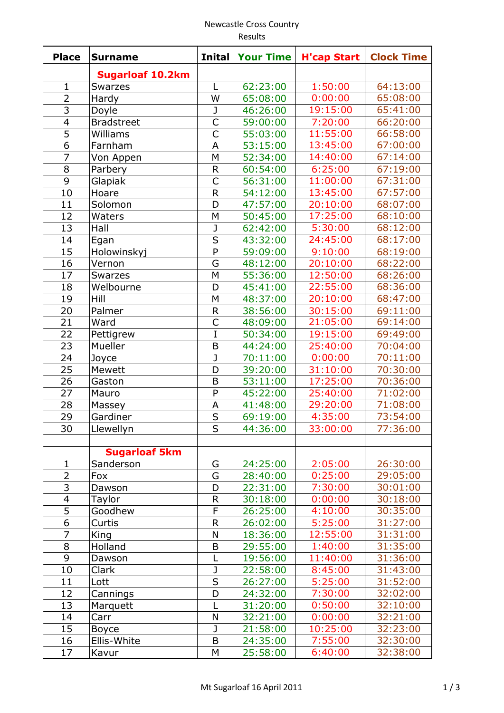## Newcastle Cross Country Results

| <b>Place</b>             | <b>Surname</b>          | <b>Inital</b>           | <b>Your Time</b> | <b>H'cap Start</b> | <b>Clock Time</b>    |
|--------------------------|-------------------------|-------------------------|------------------|--------------------|----------------------|
|                          | <b>Sugarloaf 10.2km</b> |                         |                  |                    |                      |
| $\mathbf{1}$             | <b>Swarzes</b>          | L                       | 62:23:00         | 1:50:00            | 64:13:00             |
| $\overline{2}$           | Hardy                   | W                       | 65:08:00         | 0:00:00            | 65:08:00             |
| 3                        | Doyle                   | J                       | 46:26:00         | 19:15:00           | 65:41:00             |
| $\overline{\mathcal{A}}$ | <b>Bradstreet</b>       | $\overline{C}$          | 59:00:00         | 7:20:00            | 66:20:00             |
| $\overline{5}$           | Williams                | $\overline{C}$          | 55:03:00         | 11:55:00           | 66:58:00             |
| 6                        | Farnham                 | A                       | 53:15:00         | 13:45:00           | 67:00:00             |
| $\overline{7}$           | Von Appen               | M                       | 52:34:00         | 14:40:00           | 67:14:00             |
| 8                        | Parbery                 | $\mathsf{R}$            | 60:54:00         | 6:25:00            | 67:19:00             |
| 9                        | Glapiak                 | Ċ                       | 56:31:00         | 11:00:00           | 67:31:00             |
| 10                       | Hoare                   | R                       | 54:12:00         | 13:45:00           | 67:57:00             |
| 11                       | Solomon                 | D                       | 47:57:00         | 20:10:00           | 68:07:00             |
| 12                       | Waters                  | M                       | 50:45:00         | 17:25:00           | 68:10:00             |
| 13                       | Hall                    | J                       | 62:42:00         | 5:30:00            | 68:12:00             |
| 14                       | Egan                    | $\overline{\mathsf{s}}$ | 43:32:00         | 24:45:00           | 68:17:00             |
| 15                       | Holowinskyj             | $\overline{P}$          | 59:09:00         | 9:10:00            | 68:19:00             |
| 16                       | Vernon                  | G                       | 48:12:00         | 20:10:00           | 68:22:00             |
| 17                       |                         | M                       |                  | 12:50:00           |                      |
|                          | <b>Swarzes</b>          |                         | 55:36:00         | 22:55:00           | 68:26:00<br>68:36:00 |
| 18                       | Welbourne               | D                       | 45:41:00         | 20:10:00           | 68:47:00             |
| 19                       | Hill                    | M                       | 48:37:00         |                    |                      |
| 20                       | Palmer                  | $\mathsf{R}$            | 38:56:00         | 30:15:00           | 69:11:00             |
| 21                       | Ward                    | C                       | 48:09:00         | 21:05:00           | 69:14:00             |
| 22                       | Pettigrew               | Ī                       | 50:34:00         | 19:15:00           | 69:49:00             |
| 23                       | Mueller                 | B                       | 44:24:00         | 25:40:00           | 70:04:00             |
| 24                       | Joyce                   | J                       | 70:11:00         | 0:00:00            | 70:11:00             |
| 25                       | Mewett                  | D                       | 39:20:00         | 31:10:00           | 70:30:00             |
| 26                       | Gaston                  | B                       | 53:11:00         | 17:25:00           | 70:36:00             |
| 27                       | Mauro                   | P                       | 45:22:00         | 25:40:00           | 71:02:00             |
| 28                       | Massey                  | A                       | 41:48:00         | 29:20:00           | 71:08:00             |
| 29                       | Gardiner                | $\overline{\mathsf{S}}$ | 69:19:00         | 4:35:00            | 73:54:00             |
| 30                       | Llewellyn               | S                       | 44:36:00         | 33:00:00           | 77:36:00             |
|                          |                         |                         |                  |                    |                      |
|                          | <b>Sugarloaf 5km</b>    |                         |                  |                    |                      |
| $\mathbf{1}$             | Sanderson               | G                       | 24:25:00         | 2:05:00            | 26:30:00             |
| $\overline{2}$           | Fox                     | G                       | 28:40:00         | 0:25:00            | 29:05:00             |
| 3                        | Dawson                  | D                       | 22:31:00         | 7:30:00            | 30:01:00             |
| $\overline{\mathbf{4}}$  | Taylor                  | $\mathsf R$             | 30:18:00         | 0:00:00            | 30:18:00             |
| $\overline{5}$           | Goodhew                 | F                       | 26:25:00         | 4:10:00            | 30:35:00             |
| 6                        | Curtis                  | $\mathsf{R}$            | 26:02:00         | 5:25:00            | 31:27:00             |
| $\overline{7}$           | King                    | N                       | 18:36:00         | 12:55:00           | 31:31:00             |
| 8                        | Holland                 | B                       | 29:55:00         | 1:40:00            | 31:35:00             |
| 9                        | Dawson                  |                         | 19:56:00         | 11:40:00           | 31:36:00             |
| 10                       | Clark                   | J                       | 22:58:00         | 8:45:00            | 31:43:00             |
| 11                       | Lott                    | $\overline{\mathsf{s}}$ | 26:27:00         | 5:25:00            | 31:52:00             |
| 12                       | Cannings                | D                       | 24:32:00         | 7:30:00            | 32:02:00             |
| 13                       | Marquett                |                         | 31:20:00         | 0:50:00            | 32:10:00             |
| 14                       | Carr                    | N                       | 32:21:00         | 0:00:00            | 32:21:00             |
| 15                       | <b>Boyce</b>            | J                       | 21:58:00         | 10:25:00           | 32:23:00             |
| 16                       | Ellis-White             | B                       | 24:35:00         | 7:55:00            | 32:30:00             |
| 17                       | Kavur                   | M                       | 25:58:00         | 6:40:00            | 32:38:00             |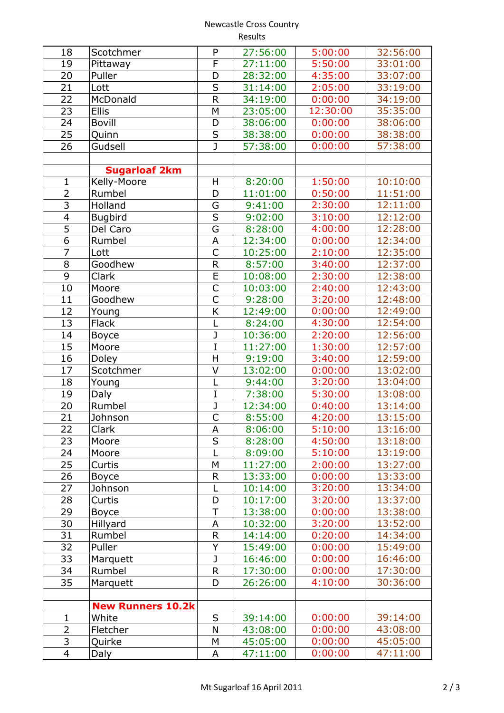## Newcastle Cross Country Results

| 18             | Scotchmer                | P                       | 27:56:00 | 5:00:00  | 32:56:00 |
|----------------|--------------------------|-------------------------|----------|----------|----------|
| 19             | Pittaway                 | F                       | 27:11:00 | 5:50:00  | 33:01:00 |
| 20             | Puller                   | D                       | 28:32:00 | 4:35:00  | 33:07:00 |
| 21             | Lott                     | $\overline{\mathsf{s}}$ | 31:14:00 | 2:05:00  | 33:19:00 |
| 22             | McDonald                 | R                       | 34:19:00 | 0:00:00  | 34:19:00 |
|                | <b>Ellis</b>             | M                       |          | 12:30:00 | 35:35:00 |
| 23             |                          |                         | 23:05:00 |          |          |
| 24             | <b>Bovill</b>            | D                       | 38:06:00 | 0:00:00  | 38:06:00 |
| 25             | Quinn                    | $\overline{\mathsf{S}}$ | 38:38:00 | 0:00:00  | 38:38:00 |
| 26             | Gudsell                  | J                       | 57:38:00 | 0:00:00  | 57:38:00 |
|                |                          |                         |          |          |          |
|                | <b>Sugarloaf 2km</b>     |                         |          |          |          |
| $\mathbf{1}$   | Kelly-Moore              | H                       | 8:20:00  | 1:50:00  | 10:10:00 |
| $\overline{2}$ | Rumbel                   | D                       | 11:01:00 | 0:50:00  | 11:51:00 |
| 3              | Holland                  | G                       | 9:41:00  | 2:30:00  | 12:11:00 |
| $\overline{4}$ | <b>Bugbird</b>           | $\overline{\mathsf{s}}$ | 9:02:00  | 3:10:00  | 12:12:00 |
| $\overline{5}$ | Del Caro                 | $\overline{\mathsf{G}}$ | 8:28:00  | 4:00:00  | 12:28:00 |
| $\overline{6}$ | Rumbel                   | A                       | 12:34:00 | 0:00:00  | 12:34:00 |
| $\overline{7}$ | Lott                     | $\overline{\mathsf{C}}$ | 10:25:00 | 2:10:00  | 12:35:00 |
| $\overline{8}$ | Goodhew                  | R                       | 8:57:00  | 3:40:00  | 12:37:00 |
| $\overline{9}$ | Clark                    | $\overline{\mathsf{E}}$ | 10:08:00 | 2:30:00  | 12:38:00 |
| 10             | Moore                    | C                       | 10:03:00 | 2:40:00  | 12:43:00 |
| 11             | Goodhew                  | Ċ                       | 9:28:00  | 3:20:00  | 12:48:00 |
| 12             | Young                    | K                       | 12:49:00 | 0:00:00  | 12:49:00 |
| 13             | <b>Flack</b>             | L                       | 8:24:00  | 4:30:00  | 12:54:00 |
| 14             | <b>Boyce</b>             | J                       | 10:36:00 | 2:20:00  | 12:56:00 |
| 15             | Moore                    | I                       | 11:27:00 | 1:30:00  | 12:57:00 |
| 16             | <b>Doley</b>             | H                       | 9:19:00  | 3:40:00  | 12:59:00 |
| 17             | Scotchmer                | V                       | 13:02:00 | 0:00:00  | 13:02:00 |
| 18             | Young                    | L                       | 9:44:00  | 3:20:00  | 13:04:00 |
| 19             | Daly                     | I                       | 7:38:00  | 5:30:00  | 13:08:00 |
| 20             | Rumbel                   | J                       | 12:34:00 | 0:40:00  | 13:14:00 |
| 21             | Johnson                  | $\overline{\mathsf{C}}$ | 8:55:00  | 4:20:00  | 13:15:00 |
|                |                          |                         |          |          |          |
| 22             | Clark                    | A                       | 8:06:00  | 5:10:00  | 13:16:00 |
| 23             | Moore                    | S                       | 8:28:00  | 4:50:00  | 13:18:00 |
| 24             | Moore                    |                         | 8:09:00  | 5:10:00  | 13:19:00 |
| 25             | Curtis                   | M                       | 11:27:00 | 2:00:00  | 13:27:00 |
| 26             | <b>Boyce</b>             | $\mathsf R$             | 13:33:00 | 0:00:00  | 13:33:00 |
| 27             | Johnson                  | L                       | 10:14:00 | 3:20:00  | 13:34:00 |
| 28             | Curtis                   | D                       | 10:17:00 | 3:20:00  | 13:37:00 |
| 29             | Boyce                    | T                       | 13:38:00 | 0:00:00  | 13:38:00 |
| 30             | Hillyard                 | A                       | 10:32:00 | 3:20:00  | 13:52:00 |
| 31             | Rumbel                   | $\mathsf R$             | 14:14:00 | 0:20:00  | 14:34:00 |
| 32             | Puller                   | Y                       | 15:49:00 | 0:00:00  | 15:49:00 |
| 33             | Marquett                 | J                       | 16:46:00 | 0:00:00  | 16:46:00 |
| 34             | Rumbel                   | $\overline{\mathsf{R}}$ | 17:30:00 | 0:00:00  | 17:30:00 |
| 35             | Marquett                 | D                       | 26:26:00 | 4:10:00  | 30:36:00 |
|                |                          |                         |          |          |          |
|                | <b>New Runners 10.2k</b> |                         |          |          |          |
| $\mathbf{1}$   | White                    | S                       | 39:14:00 | 0:00:00  | 39:14:00 |
| $\overline{2}$ | Fletcher                 | N                       | 43:08:00 | 0:00:00  | 43:08:00 |
| 3              | Quirke                   | M                       | 45:05:00 | 0:00:00  | 45:05:00 |
| 4              | Daly                     | А                       | 47:11:00 | 0:00:00  | 47:11:00 |